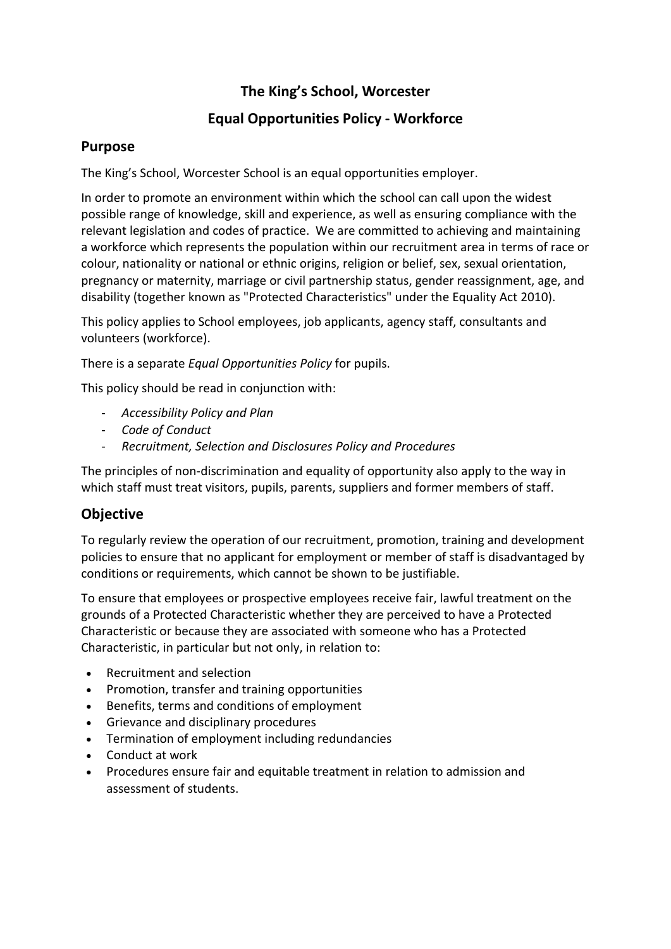# **The King's School, Worcester**

# **Equal Opportunities Policy - Workforce**

## **Purpose**

The King's School, Worcester School is an equal opportunities employer.

In order to promote an environment within which the school can call upon the widest possible range of knowledge, skill and experience, as well as ensuring compliance with the relevant legislation and codes of practice. We are committed to achieving and maintaining a workforce which represents the population within our recruitment area in terms of race or colour, nationality or national or ethnic origins, religion or belief, sex, sexual orientation, pregnancy or maternity, marriage or civil partnership status, gender reassignment, age, and disability (together known as "Protected Characteristics" under the Equality Act 2010).

This policy applies to School employees, job applicants, agency staff, consultants and volunteers (workforce).

There is a separate *Equal Opportunities Policy* for pupils.

This policy should be read in conjunction with:

- *Accessibility Policy and Plan*
- *Code of Conduct*
- *Recruitment, Selection and Disclosures Policy and Procedures*

The principles of non-discrimination and equality of opportunity also apply to the way in which staff must treat visitors, pupils, parents, suppliers and former members of staff.

#### **Objective**

To regularly review the operation of our recruitment, promotion, training and development policies to ensure that no applicant for employment or member of staff is disadvantaged by conditions or requirements, which cannot be shown to be justifiable.

To ensure that employees or prospective employees receive fair, lawful treatment on the grounds of a Protected Characteristic whether they are perceived to have a Protected Characteristic or because they are associated with someone who has a Protected Characteristic, in particular but not only, in relation to:

- Recruitment and selection
- Promotion, transfer and training opportunities
- Benefits, terms and conditions of employment
- Grievance and disciplinary procedures
- Termination of employment including redundancies
- Conduct at work
- Procedures ensure fair and equitable treatment in relation to admission and assessment of students.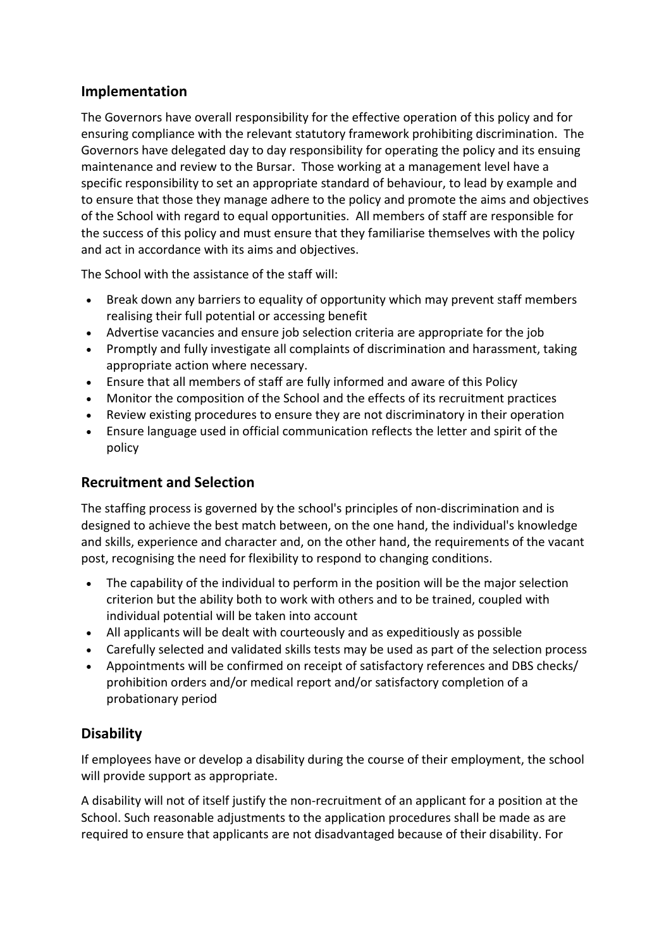## **Implementation**

The Governors have overall responsibility for the effective operation of this policy and for ensuring compliance with the relevant statutory framework prohibiting discrimination. The Governors have delegated day to day responsibility for operating the policy and its ensuing maintenance and review to the Bursar. Those working at a management level have a specific responsibility to set an appropriate standard of behaviour, to lead by example and to ensure that those they manage adhere to the policy and promote the aims and objectives of the School with regard to equal opportunities. All members of staff are responsible for the success of this policy and must ensure that they familiarise themselves with the policy and act in accordance with its aims and objectives.

The School with the assistance of the staff will:

- Break down any barriers to equality of opportunity which may prevent staff members realising their full potential or accessing benefit
- Advertise vacancies and ensure job selection criteria are appropriate for the job
- Promptly and fully investigate all complaints of discrimination and harassment, taking appropriate action where necessary.
- Ensure that all members of staff are fully informed and aware of this Policy
- Monitor the composition of the School and the effects of its recruitment practices
- Review existing procedures to ensure they are not discriminatory in their operation
- Ensure language used in official communication reflects the letter and spirit of the policy

# **Recruitment and Selection**

The staffing process is governed by the school's principles of non-discrimination and is designed to achieve the best match between, on the one hand, the individual's knowledge and skills, experience and character and, on the other hand, the requirements of the vacant post, recognising the need for flexibility to respond to changing conditions.

- The capability of the individual to perform in the position will be the major selection criterion but the ability both to work with others and to be trained, coupled with individual potential will be taken into account
- All applicants will be dealt with courteously and as expeditiously as possible
- Carefully selected and validated skills tests may be used as part of the selection process
- Appointments will be confirmed on receipt of satisfactory references and DBS checks/ prohibition orders and/or medical report and/or satisfactory completion of a probationary period

# **Disability**

If employees have or develop a disability during the course of their employment, the school will provide support as appropriate.

A disability will not of itself justify the non-recruitment of an applicant for a position at the School. Such reasonable adjustments to the application procedures shall be made as are required to ensure that applicants are not disadvantaged because of their disability. For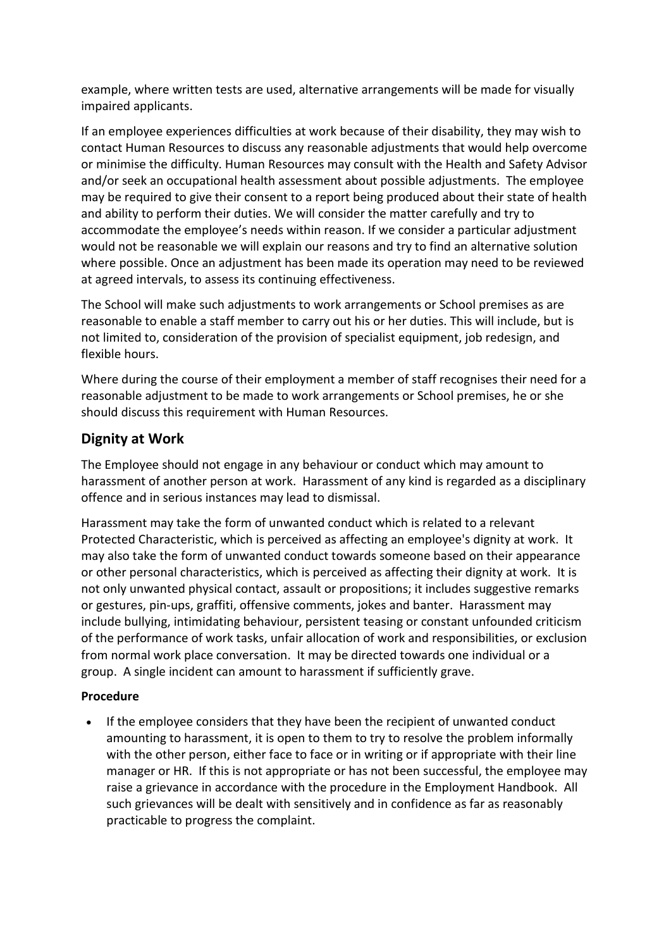example, where written tests are used, alternative arrangements will be made for visually impaired applicants.

If an employee experiences difficulties at work because of their disability, they may wish to contact Human Resources to discuss any reasonable adjustments that would help overcome or minimise the difficulty. Human Resources may consult with the Health and Safety Advisor and/or seek an occupational health assessment about possible adjustments. The employee may be required to give their consent to a report being produced about their state of health and ability to perform their duties. We will consider the matter carefully and try to accommodate the employee's needs within reason. If we consider a particular adjustment would not be reasonable we will explain our reasons and try to find an alternative solution where possible. Once an adjustment has been made its operation may need to be reviewed at agreed intervals, to assess its continuing effectiveness.

The School will make such adjustments to work arrangements or School premises as are reasonable to enable a staff member to carry out his or her duties. This will include, but is not limited to, consideration of the provision of specialist equipment, job redesign, and flexible hours.

Where during the course of their employment a member of staff recognises their need for a reasonable adjustment to be made to work arrangements or School premises, he or she should discuss this requirement with Human Resources.

## **Dignity at Work**

The Employee should not engage in any behaviour or conduct which may amount to harassment of another person at work. Harassment of any kind is regarded as a disciplinary offence and in serious instances may lead to dismissal.

Harassment may take the form of unwanted conduct which is related to a relevant Protected Characteristic, which is perceived as affecting an employee's dignity at work. It may also take the form of unwanted conduct towards someone based on their appearance or other personal characteristics, which is perceived as affecting their dignity at work. It is not only unwanted physical contact, assault or propositions; it includes suggestive remarks or gestures, pin-ups, graffiti, offensive comments, jokes and banter. Harassment may include bullying, intimidating behaviour, persistent teasing or constant unfounded criticism of the performance of work tasks, unfair allocation of work and responsibilities, or exclusion from normal work place conversation. It may be directed towards one individual or a group. A single incident can amount to harassment if sufficiently grave.

#### **Procedure**

• If the employee considers that they have been the recipient of unwanted conduct amounting to harassment, it is open to them to try to resolve the problem informally with the other person, either face to face or in writing or if appropriate with their line manager or HR. If this is not appropriate or has not been successful, the employee may raise a grievance in accordance with the procedure in the Employment Handbook. All such grievances will be dealt with sensitively and in confidence as far as reasonably practicable to progress the complaint.